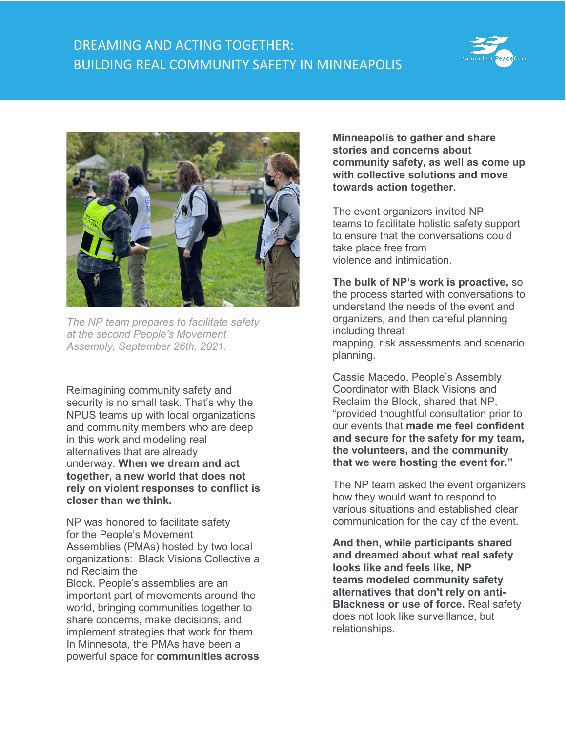## DREAMING AND ACTING TOGETHER: BUILDING REAL COMMUNITY SAFETY IN MINNEAPOLIS





*The NP team prepares to facilitate safety at the second People's Movement Assembly, September 26th, 2021.*

Reimagining community safety and security is no small task. That's why the NPUS teams up with local organizations and community members who are deep in this work and modeling real alternatives that are already underway. **When we dream and act together, a new world that does not rely on violent responses to conflict is closer than we think.**

NP was honored to facilitate safety for the People's Movement Assemblies (PMAs) hosted by two local organizations: Black Visions Collective a nd Reclaim the Block. People's assemblies are an important part of movements around the world, bringing communities together to share concerns, make decisions, and implement strategies that work for them. In Minnesota, the PMAs have been a powerful space for **communities across** 

**Minneapolis to gather and share stories and concerns about community safety, as well as come up with collective solutions and move towards action together.**

The event organizers invited NP teams to facilitate holistic safety support to ensure that the conversations could take place free from violence and intimidation.

**The bulk of NP's work is proactive,** so the process started with conversations to understand the needs of the event and organizers, and then careful planning including threat mapping, risk assessments and scenario planning.

Cassie Macedo, People's Assembly Coordinator with Black Visions and Reclaim the Block, shared that NP, "provided thoughtful consultation prior to our events that **made me feel confident and secure for the safety for my team, the volunteers, and the community that we were hosting the event for."**

The NP team asked the event organizers how they would want to respond to various situations and established clear communication for the day of the event.

**And then, while participants shared and dreamed about what real safety looks like and feels like, NP teams modeled community safety alternatives that don't rely on anti-Blackness or use of force.** Real safety does not look like surveillance, but relationships.